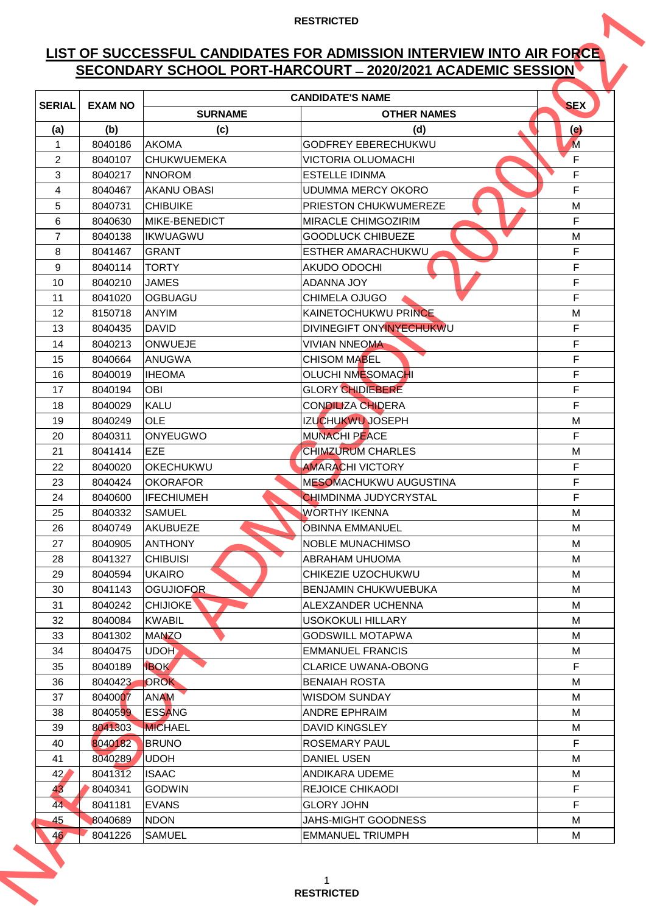# **LIST OF SUCCESSFUL CANDIDATES FOR ADMISSION INTERVIEW INTO AIR FORCE SECONDARY SCHOOL PORT-HARCOURT ̶2020/2021 ACADEMIC SESSION**

|                |                    |                                | SECONDARY SCHOOL PORT-HARCOURT - 2020/2021 ACADEMIC SESSION |            |
|----------------|--------------------|--------------------------------|-------------------------------------------------------------|------------|
| <b>SERIAL</b>  | <b>EXAM NO</b>     |                                | <b>CANDIDATE'S NAME</b>                                     | <b>SEX</b> |
|                |                    | <b>SURNAME</b>                 | <b>OTHER NAMES</b>                                          |            |
| (a)            | (b)                | (c)                            | (d)                                                         | $\Theta$   |
| 1              | 8040186            | <b>AKOMA</b>                   | GODFREY EBERECHUKWU                                         | M          |
| 2              | 8040107            | <b>CHUKWUEMEKA</b>             | VICTORIA OLUOMACHI                                          | F          |
| 3              | 8040217            | <b>NNOROM</b>                  | <b>ESTELLE IDINMA</b>                                       | F          |
| 4              | 8040467            | <b>AKANU OBASI</b>             | <b>UDUMMA MERCY OKORO</b>                                   | F          |
| 5              | 8040731            | <b>CHIBUIKE</b>                | PRIESTON CHUKWUMEREZE                                       | M          |
| 6              | 8040630            | <b>MIKE-BENEDICT</b>           | <b>MIRACLE CHIMGOZIRIM</b>                                  | F          |
| $\overline{7}$ | 8040138            | <b>IKWUAGWU</b>                | <b>GOODLUCK CHIBUEZE</b>                                    | М          |
| 8              | 8041467            | <b>GRANT</b>                   | <b>ESTHER AMARACHUKWU</b>                                   | F          |
| 9              | 8040114            | <b>TORTY</b>                   | AKUDO ODOCHI                                                | F          |
| 10             | 8040210            | <b>JAMES</b>                   | ADANNA JOY                                                  | F          |
| 11             | 8041020            | <b>OGBUAGU</b>                 | CHIMELA OJUGO                                               | F          |
| 12             | 8150718            | <b>ANYIM</b>                   | KAINETOCHUKWU PRINCE                                        | M          |
| 13             | 8040435            | <b>DAVID</b>                   | DIVINEGIFT ONYINYECHUKWU                                    | F          |
| 14             | 8040213            | <b>ONWUEJE</b>                 | <b>VIVIAN NNEOMA</b>                                        | F.<br>F    |
| 15<br>16       | 8040664<br>8040019 | <b>ANUGWA</b><br><b>IHEOMA</b> | <b>CHISOM MABEL</b><br><b>OLUCHI NMESOMACHI</b>             | F.         |
| 17             | 8040194            | OBI                            | <b>GLORY CHIDIEBERE</b>                                     | F          |
| 18             | 8040029            | <b>KALU</b>                    | <b>CONDILIZA CHIDERA</b>                                    | F          |
| 19             | 8040249            | <b>OLE</b>                     | <b>IZUCHUKWU JOSEPH</b>                                     | M          |
| 20             | 8040311            | <b>ONYEUGWO</b>                | <b>MUNACHI PEACE</b>                                        | F          |
| 21             | 8041414            | EZE                            | <b>CHIMZURUM CHARLES</b>                                    | м          |
| 22             | 8040020            | <b>OKECHUKWU</b>               | <b>AMARACHI VICTORY</b>                                     | F.         |
| 23             | 8040424            | <b>OKORAFOR</b>                | MESOMACHUKWU AUGUSTINA                                      | F          |
| 24             | 8040600            | <b>IFECHIUMEH</b>              | CHIMDINMA JUDYCRYSTAL                                       | F          |
| 25             | 8040332            | <b>SAMUEL</b>                  | <b>WORTHY IKENNA</b>                                        | м          |
| 26             | 8040749            | <b>AKUBUEZE</b>                | <b>OBINNA EMMANUEL</b>                                      | M          |
| 27             | 8040905            | <b>ANTHONY</b>                 | <b>NOBLE MUNACHIMSO</b>                                     | М          |
| 28             | 8041327            | <b>CHIBUISI</b>                | ABRAHAM UHUOMA                                              | м          |
| 29             | 8040594            | <b>UKAIRO</b>                  | CHIKEZIE UZOCHUKWU                                          | М          |
| 30             | 8041143            | <b>OGUJIOFOR</b>               | <b>BENJAMIN CHUKWUEBUKA</b>                                 | М          |
| 31             | 8040242            | <b>CHIJIOKE</b>                | ALEXZANDER UCHENNA                                          | M          |
| 32             | 8040084            | <b>KWABIL</b>                  | USOKOKULI HILLARY                                           | М          |
| 33             | 8041302            | <b>MANZO</b>                   | <b>GODSWILL MOTAPWA</b>                                     | М          |
| 34             | 8040475            | UDOH                           | <b>EMMANUEL FRANCIS</b>                                     | М          |
| 35             | 8040189            | <b>IBOK</b>                    | <b>CLARICE UWANA-OBONG</b>                                  | F.         |
| 36             | 8040423            | <b>OROK</b>                    | <b>BENAIAH ROSTA</b>                                        | M          |
| 37             | 8040007            | ANAM                           | <b>WISDOM SUNDAY</b>                                        | М          |
| 38             | 8040599            | <b>ESSANG</b>                  | <b>ANDRE EPHRAIM</b>                                        | M          |
| 39             | 8041303            | <b>MICHAEL</b>                 | <b>DAVID KINGSLEY</b>                                       | М          |
| 40             | 8040182            | <b>BRUNO</b>                   | <b>ROSEMARY PAUL</b>                                        | F.         |
| 41             | 8040289            | <b>UDOH</b>                    | <b>DANIEL USEN</b>                                          | М          |
| 42/            | 8041312            | <b>ISAAC</b>                   | ANDIKARA UDEME                                              | M          |
| 43             | 8040341            | <b>GODWIN</b>                  | <b>REJOICE CHIKAODI</b>                                     | F.         |
| 44             | 8041181            | <b>EVANS</b>                   | <b>GLORY JOHN</b>                                           | F.         |
| 45             | 8040689            | <b>NDON</b>                    | JAHS-MIGHT GOODNESS                                         | М          |
| 46'            | 8041226            | <b>SAMUEL</b>                  | <b>EMMANUEL TRIUMPH</b>                                     | М          |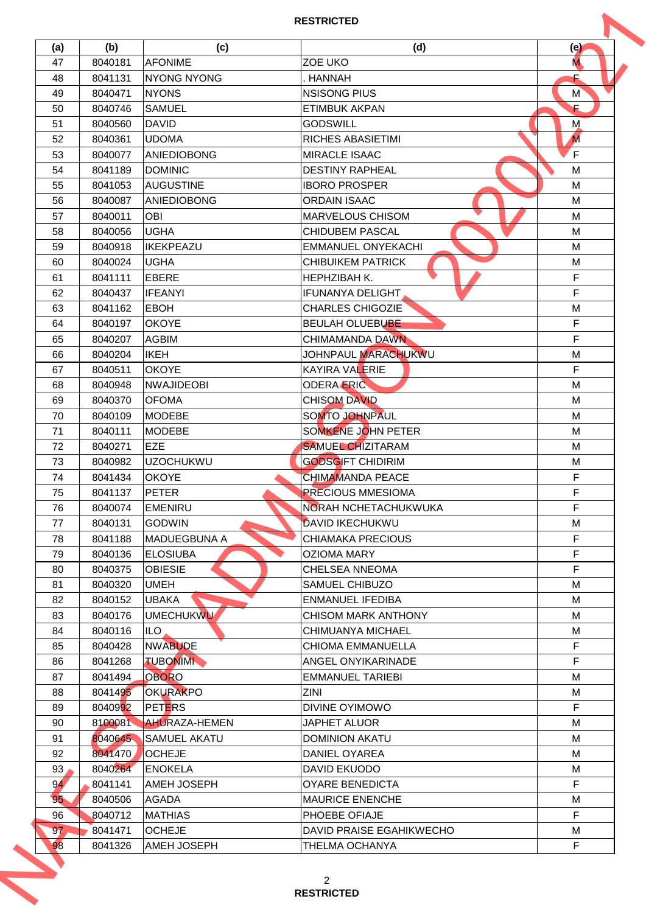| (a)             | (b)     | (c)                  | (d)                         | (e)            |
|-----------------|---------|----------------------|-----------------------------|----------------|
| 47              | 8040181 | <b>AFONIME</b>       | <b>ZOE UKO</b>              | M.             |
| 48              | 8041131 | NYONG NYONG          | HANNAH                      |                |
| 49              | 8040471 | <b>NYONS</b>         | <b>NSISONG PIUS</b>         | M <sup>'</sup> |
| 50              | 8040746 | <b>SAMUEL</b>        | <b>ETIMBUK AKPAN</b>        | £              |
| 51              | 8040560 | <b>DAVID</b>         | <b>GODSWILL</b>             | M              |
| 52              | 8040361 | <b>UDOMA</b>         | <b>RICHES ABASIETIMI</b>    | M              |
| 53              | 8040077 | <b>ANIEDIOBONG</b>   | <b>MIRACLE ISAAC</b>        | F              |
| 54              | 8041189 | <b>DOMINIC</b>       | <b>DESTINY RAPHEAL</b>      | M              |
| 55              | 8041053 | <b>AUGUSTINE</b>     | <b>IBORO PROSPER</b>        | M              |
| 56              | 8040087 | <b>ANIEDIOBONG</b>   | <b>ORDAIN ISAAC</b>         | М              |
| 57              | 8040011 | OBI                  | <b>MARVELOUS CHISOM</b>     | M              |
| 58              | 8040056 | <b>UGHA</b>          | <b>CHIDUBEM PASCAL</b>      | M              |
| 59              | 8040918 | <b>IKEKPEAZU</b>     | <b>EMMANUEL ONYEKACHI</b>   | м              |
| 60              | 8040024 | <b>UGHA</b>          | <b>CHIBUIKEM PATRICK</b>    | М              |
| 61              | 8041111 | <b>EBERE</b>         | <b>HEPHZIBAH K.</b>         | F              |
| 62              | 8040437 | <b>IFEANYI</b>       | <b>IFUNANYA DELIGHT</b>     | F.             |
| 63              | 8041162 | <b>EBOH</b>          | <b>CHARLES CHIGOZIE</b>     | M              |
| 64              | 8040197 | <b>OKOYE</b>         | <b>BEULAH OLUEBUBE</b>      | F              |
| 65              | 8040207 | <b>AGBIM</b>         | <b>CHIMAMANDA DAWN</b>      | F.             |
| 66              | 8040204 | <b>IKEH</b>          | JOHNPAUL MARACHUKWU         | M              |
| 67              | 8040511 | <b>OKOYE</b>         | <b>KAYIRA VALERIE</b>       | F.             |
| 68              | 8040948 | <b>NWAJIDEOBI</b>    | <b>ODERA ERIC</b>           | M              |
| 69              | 8040370 | <b>OFOMA</b>         | <b>CHISOM DAVID</b>         | M              |
| 70              | 8040109 | <b>MODEBE</b>        | SOMTO JOHNPAUL              | м              |
| 71              | 8040111 | <b>MODEBE</b>        | SOMKENE JOHN PETER          | M              |
| 72              | 8040271 | <b>EZE</b>           | <b>SAMUEL CHIZITARAM</b>    | M              |
| 73              | 8040982 | <b>UZOCHUKWU</b>     | <b>GODSGIFT CHIDIRIM</b>    | M              |
| 74              | 8041434 | <b>OKOYE</b>         | CHIMAMANDA PEACE            | F              |
| 75              | 8041137 | <b>PETER</b>         | <b>PRECIOUS MMESIOMA</b>    | F              |
| 76              | 8040074 | <b>EMENIRU</b>       | <b>NORAH NCHETACHUKWUKA</b> | F              |
| 77              | 8040131 | <b>GODWIN</b>        | <b>DAVID IKECHUKWU</b>      | М              |
| 78              | 8041188 | <b>MADUEGBUNA A</b>  | <b>CHIAMAKA PRECIOUS</b>    | F              |
| 79              | 8040136 | <b>ELOSIUBA</b>      | <b>OZIOMA MARY</b>          | F              |
| 80              | 8040375 | <b>OBIESIE</b>       | <b>CHELSEA NNEOMA</b>       | F              |
| 81              | 8040320 | <b>UMEH</b>          | SAMUEL CHIBUZO              | М              |
| 82              | 8040152 | <b>UBAKA</b>         | <b>ENMANUEL IFEDIBA</b>     | М              |
| 83              | 8040176 | <b>UMECHUKWU</b>     | <b>CHISOM MARK ANTHONY</b>  | М              |
| 84              | 8040116 | ILO.                 | CHIMUANYA MICHAEL           | М              |
| 85              | 8040428 | <b>NWABUDE</b>       | <b>CHIOMA EMMANUELLA</b>    | F.             |
| 86              | 8041268 | <b>TUBONIMI</b>      | ANGEL ONYIKARINADE          | F.             |
| 87              | 8041494 | <b>OBORO</b>         | <b>EMMANUEL TARIEBI</b>     | M              |
| 88              | 8041495 | <b>OKURAKPO</b>      | ZINI                        | М              |
| 89              | 8040992 | <b>PETERS</b>        | DIVINE OYIMOWO              | F.             |
| 90              | 8100081 | <b>AHURAZA-HEMEN</b> | JAPHET ALUOR                | М              |
| 91              | 8040645 | <b>SAMUEL AKATU</b>  | <b>DOMINION AKATU</b>       | М              |
| 92              | 8041470 | <b>OCHEJE</b>        | DANIEL OYAREA               | М              |
| 93              | 8040264 | <b>ENOKELA</b>       | DAVID EKUODO                | М              |
| 94              | 8041141 | AMEH JOSEPH          | <b>OYARE BENEDICTA</b>      | F              |
| 95              | 8040506 | <b>AGADA</b>         | <b>MAURICE ENENCHE</b>      | М              |
| 96              | 8040712 | <b>MATHIAS</b>       | PHOEBE OFIAJE               | F              |
| 97 <sub>°</sub> | 8041471 | <b>OCHEJE</b>        | DAVID PRAISE EGAHIKWECHO    | М              |
|                 | 8041326 | <b>AMEH JOSEPH</b>   | <b>THELMA OCHANYA</b>       | F              |
| 98              |         |                      |                             |                |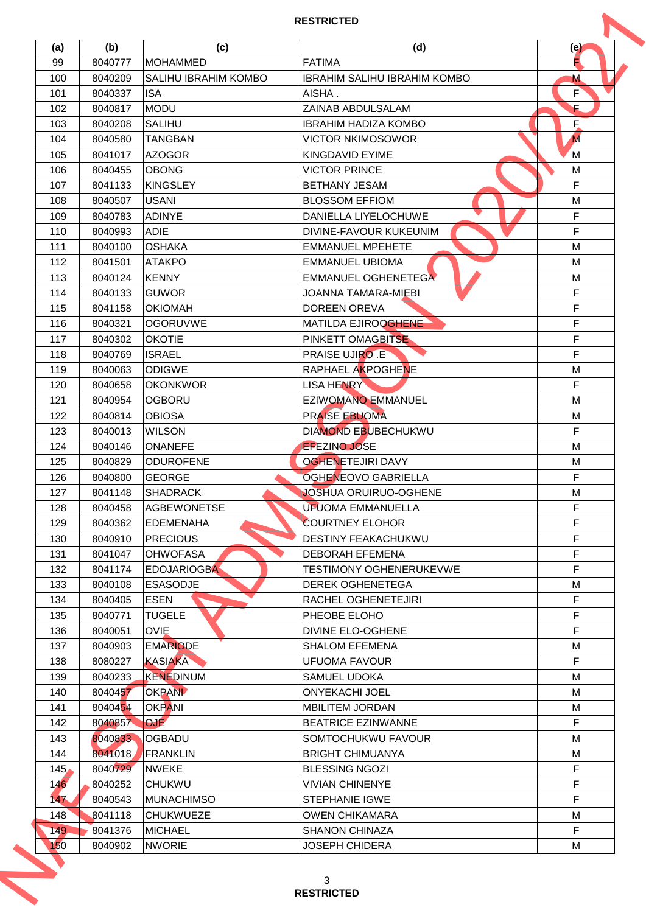| (a)              | (b)                | (c)                             | (d)                                     | (e)     |
|------------------|--------------------|---------------------------------|-----------------------------------------|---------|
| 99               | 8040777            | <b>MOHAMMED</b>                 | <b>FATIMA</b>                           | Е       |
| 100              | 8040209            | SALIHU IBRAHIM KOMBO            | <b>IBRAHIM SALIHU IBRAHIM KOMBO</b>     | M       |
| 101              | 8040337            | <b>ISA</b>                      | AISHA.                                  | F.      |
| 102              | 8040817            | <b>MODU</b>                     | ZAINAB ABDULSALAM                       | Ē       |
| 103              | 8040208            | <b>SALIHU</b>                   | <b>IBRAHIM HADIZA KOMBO</b>             | E.      |
| 104              | 8040580            | <b>TANGBAN</b>                  | <b>VICTOR NKIMOSOWOR</b>                | M       |
| 105              | 8041017            | <b>AZOGOR</b>                   | <b>KINGDAVID EYIME</b>                  | M       |
| 106              | 8040455            | <b>OBONG</b>                    | <b>VICTOR PRINCE</b>                    | M       |
| 107              | 8041133            | <b>KINGSLEY</b>                 | <b>BETHANY JESAM</b>                    | F       |
| 108              | 8040507            | <b>USANI</b>                    | <b>BLOSSOM EFFIOM</b>                   | M       |
| 109              | 8040783            | <b>ADINYE</b>                   | DANIELLA LIYELOCHUWE                    | F       |
| 110              | 8040993            | <b>ADIE</b>                     | DIVINE-FAVOUR KUKEUNIM                  | F.      |
| 111              | 8040100            | <b>OSHAKA</b>                   | <b>EMMANUEL MPEHETE</b>                 | м       |
| 112              | 8041501            | <b>ATAKPO</b>                   | <b>EMMANUEL UBIOMA</b>                  | M       |
| 113              | 8040124            | <b>KENNY</b>                    | EMMANUEL OGHENETEGA                     | M       |
| 114              | 8040133            | <b>GUWOR</b>                    | JOANNA TAMARA-MIEBI                     | F       |
| 115              | 8041158            | <b>OKIOMAH</b>                  | <b>DOREEN OREVA</b>                     | F.      |
| 116              | 8040321            | <b>OGORUVWE</b>                 | MATILDA EJIROOGHENE                     | F       |
| 117              |                    |                                 |                                         | F.      |
|                  | 8040302            | <b>OKOTIE</b>                   | PINKETT OMAGBITSE                       |         |
| 118              | 8040769            | <b>ISRAEL</b>                   | <b>PRAISE UJIRO .E</b>                  | F.      |
| 119              | 8040063            | <b>ODIGWE</b>                   | RAPHAEL AKPOGHENE                       | M       |
| 120              | 8040658            | <b>OKONKWOR</b>                 | <b>LISA HENRY</b>                       | F.      |
| 121              | 8040954            | <b>OGBORU</b>                   | <b>EZIWOMANO EMMANUEL</b>               | M       |
| 122              | 8040814            | <b>OBIOSA</b>                   | <b>PRAISE EBUOMA</b>                    | М       |
| 123              | 8040013            | <b>WILSON</b>                   | <b>DIAMOND EBUBECHUKWU</b>              | F.      |
| 124              | 8040146            | <b>ONANEFE</b>                  | <b>EFEZINO JOSE</b>                     | M       |
| 125              | 8040829            | <b>ODUROFENE</b>                | <b>OGHENETEJIRI DAVY</b>                | M       |
| 126              | 8040800            | <b>GEORGE</b>                   | <b>OGHENEOVO GABRIELLA</b>              | F       |
| 127              | 8041148            | <b>SHADRACK</b>                 | JOSHUA ORUIRUO-OGHENE                   | M       |
| 128              | 8040458            | <b>AGBEWONETSE</b>              | UFUOMA EMMANUELLA                       | F       |
| 129              | 8040362            | <b>EDEMENAHA</b>                | <b>COURTNEY ELOHOR</b>                  | F       |
| 130              | 8040910            | <b>PRECIOUS</b>                 | <b>DESTINY FEAKACHUKWU</b>              | F       |
| 131              | 8041047            | <b>OHWOFASA</b>                 | <b>DEBORAH EFEMENA</b>                  | F       |
| 132              | 8041174            | <b>EDOJARIOGBA</b>              | TESTIMONY OGHENERUKEVWE                 | F       |
| 133              | 8040108            | <b>ESASODJE</b>                 | <b>DEREK OGHENETEGA</b>                 | М       |
| 134              | 8040405            | <b>ESEN</b>                     | RACHEL OGHENETEJIRI                     | F       |
| 135              | 8040771            | <b>TUGELE</b>                   | PHEOBE ELOHO                            | F       |
| 136              | 8040051            | <b>OVIE</b>                     | <b>DIVINE ELO-OGHENE</b>                | F.      |
| 137              | 8040903            | <b>EMARIODE</b>                 | <b>SHALOM EFEMENA</b>                   | М       |
| 138              | 8080227            | <b>KASIAKA</b>                  | <b>UFUOMA FAVOUR</b>                    | F.      |
| 139              | 8040233            | <b>KENEDINUM</b>                | <b>SAMUEL UDOKA</b>                     | М       |
| 140              | 8040457            | <b>OKPANN</b>                   | <b>ONYEKACHI JOEL</b>                   | м       |
| 141              | 8040454            | <b>OKPANI</b>                   | <b>MBILITEM JORDAN</b>                  | М       |
| 142              | 8040857            | <b>OJE</b>                      | <b>BEATRICE EZINWANNE</b>               | F       |
| 143              | 8040833            | <b>OGBADU</b>                   | SOMTOCHUKWU FAVOUR                      | M       |
| 144              | 8041018            | <b>FRANKLIN</b>                 | <b>BRIGHT CHIMUANYA</b>                 | М       |
| 145 <sub>1</sub> | 8040729            | <b>NWEKE</b>                    | <b>BLESSING NGOZI</b>                   | F       |
| 146              |                    | <b>CHUKWU</b>                   | VIVIAN CHINENYE                         | F       |
| 147              | 8040252            |                                 |                                         | F.      |
|                  | 8040543            | <b>MUNACHIMSO</b>               | <b>STEPHANIE IGWE</b>                   |         |
| 148              | 8041118            | <b>CHUKWUEZE</b>                | <b>OWEN CHIKAMARA</b>                   | М       |
| 149.             | 8041376<br>8040902 | <b>MICHAEL</b><br><b>NWORIE</b> | <b>SHANON CHINAZA</b><br>JOSEPH CHIDERA | F.<br>М |
| 150              |                    |                                 |                                         |         |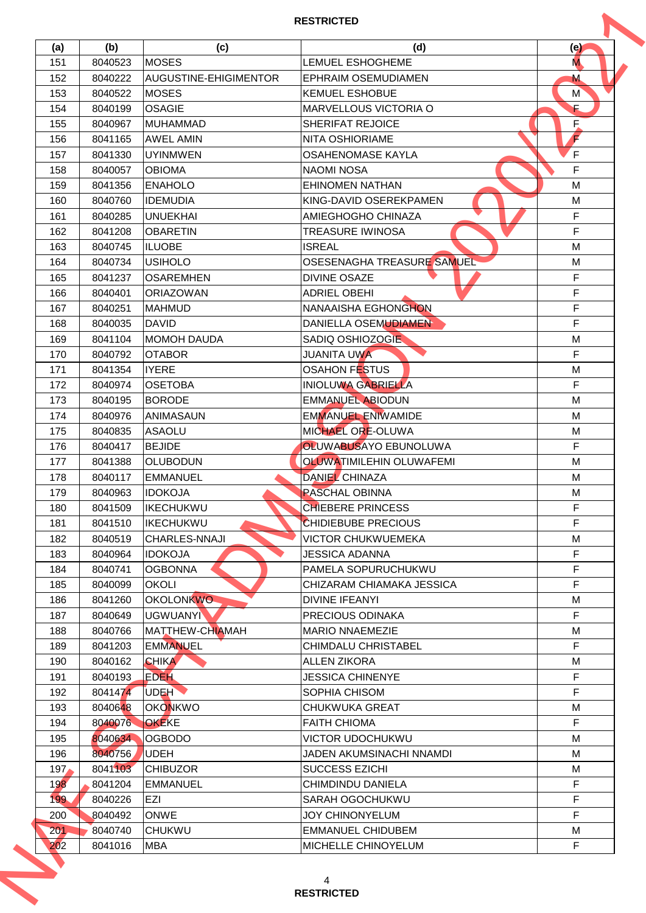| (a)              | (b)                | (c)                    | (d)                             | (e)            |
|------------------|--------------------|------------------------|---------------------------------|----------------|
| 151              | 8040523            | <b>MOSES</b>           | <b>LEMUEL ESHOGHEME</b>         | M.             |
| 152              | 8040222            | AUGUSTINE-EHIGIMENTOR  | <b>EPHRAIM OSEMUDIAMEN</b>      | M              |
| 153              | 8040522            | <b>MOSES</b>           | <b>KEMUEL ESHOBUE</b>           | M <sup>'</sup> |
| 154              | 8040199            | <b>OSAGIE</b>          | <b>MARVELLOUS VICTORIA O</b>    | Ē              |
| 155              | 8040967            | <b>MUHAMMAD</b>        | SHERIFAT REJOICE                | E.             |
| 156              | 8041165            | <b>AWEL AMIN</b>       | NITA OSHIORIAME                 | $\mathbf F$    |
| 157              | 8041330            | <b>UYINMWEN</b>        | <b>OSAHENOMASE KAYLA</b>        | F              |
| 158              | 8040057            | <b>OBIOMA</b>          | <b>NAOMI NOSA</b>               | F              |
| 159              | 8041356            | <b>ENAHOLO</b>         | <b>EHINOMEN NATHAN</b>          | M              |
| 160              | 8040760            | <b>IDEMUDIA</b>        | KING-DAVID OSEREKPAMEN          | M              |
| 161              | 8040285            | <b>UNUEKHAI</b>        | AMIEGHOGHO CHINAZA              | F              |
| 162              | 8041208            | <b>OBARETIN</b>        | <b>TREASURE IWINOSA</b>         | F              |
| 163              | 8040745            | <b>ILUOBE</b>          | <b>ISREAL</b>                   | м              |
| 164              | 8040734            | <b>USIHOLO</b>         | OSESENAGHA TREASURE SAMUEL      | M              |
| 165              | 8041237            | <b>OSAREMHEN</b>       | <b>DIVINE OSAZE</b>             | F              |
| 166              | 8040401            | <b>ORIAZOWAN</b>       | <b>ADRIEL OBEHI</b>             | F              |
| 167              | 8040251            | <b>MAHMUD</b>          | NANAAISHA EGHONGHON             | F.             |
| 168              | 8040035            | <b>DAVID</b>           | DANIELLA OSEMUDIAMEN            | F.             |
| 169              | 8041104            | <b>MOMOH DAUDA</b>     | SADIQ OSHIOZOGIE                | M              |
| 170              | 8040792            | <b>OTABOR</b>          | JUANITA UWA                     | F              |
| 171              | 8041354            | <b>IYERE</b>           | <b>OSAHON FESTUS</b>            | M              |
| 172              | 8040974            | <b>OSETOBA</b>         | <b>INIOLUWA GABRIELLA</b>       | F.             |
| 173              | 8040195            | <b>BORODE</b>          | <b>EMMANUEL ABIODUN</b>         | M              |
| 174              | 8040976            | <b>ANIMASAUN</b>       | <b>EMMANUEL ENIWAMIDE</b>       | м              |
|                  |                    |                        | MICHAEL ORE-OLUWA               |                |
| 175              | 8040835<br>8040417 | <b>ASAOLU</b>          | OLUWABUSAYO EBUNOLUWA           | M              |
| 176              |                    | <b>BEJIDE</b>          |                                 | F              |
| 177              | 8041388            | <b>OLUBODUN</b>        | <b>OLUWATIMILEHIN OLUWAFEMI</b> | M              |
| 178              | 8040117            | <b>EMMANUEL</b>        | <b>DANIEL CHINAZA</b>           | М              |
| 179              | 8040963            | <b>IDOKOJA</b>         | <b>PASCHAL OBINNA</b>           | M              |
| 180              | 8041509            | <b>IKECHUKWU</b>       | <b>CHIEBERE PRINCESS</b>        | F              |
| 181              | 8041510            | <b>IKECHUKWU</b>       | <b>CHIDIEBUBE PRECIOUS</b>      | F              |
| 182              | 8040519            | <b>CHARLES-NNAJI</b>   | <b>VICTOR CHUKWUEMEKA</b>       | М              |
| 183              | 8040964            | <b>IDOKOJA</b>         | JESSICA ADANNA                  | F              |
| 184              | 8040741            | <b>OGBONNA</b>         | PAMELA SOPURUCHUKWU             | F              |
| 185              | 8040099            | <b>OKOLI</b>           | CHIZARAM CHIAMAKA JESSICA       | F.             |
| 186              | 8041260            | <b>OKOLONKWO</b>       | <b>DIVINE IFEANYI</b>           | М              |
| 187              | 8040649            | <b>UGWUANYI</b>        | PRECIOUS ODINAKA                | F.             |
| 188              | 8040766            | <b>MATTHEW-CHIAMAH</b> | <b>MARIO NNAEMEZIE</b>          | М              |
| 189              | 8041203            | <b>EMMANUEL</b>        | <b>CHIMDALU CHRISTABEL</b>      | F.             |
| 190              | 8040162            | <b>CHIKA</b>           | <b>ALLEN ZIKORA</b>             | М              |
| 191              | 8040193            | <b>EDEH</b>            | <b>JESSICA CHINENYE</b>         | F.             |
| 192              | 8041474            | UDEH                   | SOPHIA CHISOM                   | F.             |
| 193              | 8040648            | <b>OKONKWO</b>         | <b>CHUKWUKA GREAT</b>           | M              |
| 194              | 8040076            | OKEKE                  | <b>FAITH CHIOMA</b>             | F.             |
| 195              | 8040634            | <b>OGBODO</b>          | VICTOR UDOCHUKWU                | М              |
| 196              | 8040756            | <b>UDEH</b>            | JADEN AKUMSINACHI NNAMDI        | М              |
| 197 <sub>1</sub> | 8041103            | <b>CHIBUZOR</b>        | <b>SUCCESS EZICHI</b>           | М              |
| 198              | 8041204            | <b>EMMANUEL</b>        | CHIMDINDU DANIELA               | F              |
| 199              | 8040226            | EZI                    | SARAH OGOCHUKWU                 | F.             |
| 200              | 8040492            | <b>ONWE</b>            | JOY CHINONYELUM                 | F.             |
| 201              | 8040740            | <b>CHUKWU</b>          | <b>EMMANUEL CHIDUBEM</b>        | М              |
| 202              | 8041016            | <b>MBA</b>             | <b>MICHELLE CHINOYELUM</b>      | F.             |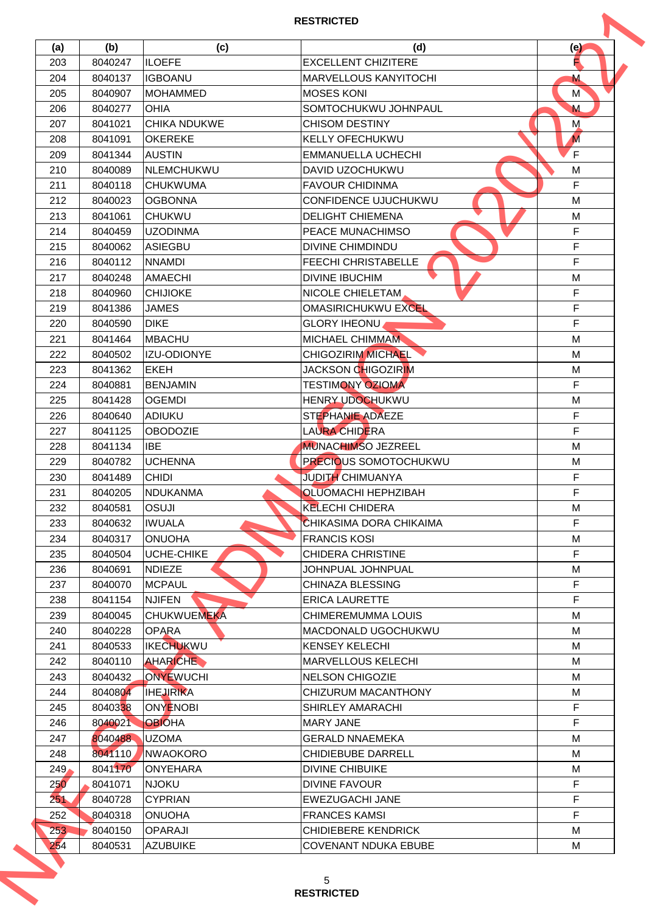| (a) | (b)     | (c)                 | (d)                          | (e)            |
|-----|---------|---------------------|------------------------------|----------------|
| 203 | 8040247 | <b>ILOEFE</b>       | <b>EXCELLENT CHIZITERE</b>   | Е              |
| 204 | 8040137 | <b>IGBOANU</b>      | <b>MARVELLOUS KANYITOCHI</b> | M              |
| 205 | 8040907 | <b>MOHAMMED</b>     | <b>MOSES KONI</b>            | M <sup>'</sup> |
| 206 | 8040277 | <b>OHIA</b>         | SOMTOCHUKWU JOHNPAUL         | M              |
| 207 | 8041021 | <b>CHIKA NDUKWE</b> | <b>CHISOM DESTINY</b>        | M              |
| 208 | 8041091 | <b>OKEREKE</b>      | <b>KELLY OFECHUKWU</b>       | M              |
| 209 | 8041344 | <b>AUSTIN</b>       | <b>EMMANUELLA UCHECHI</b>    | F              |
| 210 | 8040089 | <b>INLEMCHUKWU</b>  | DAVID UZOCHUKWU              | M              |
| 211 | 8040118 | <b>CHUKWUMA</b>     | <b>FAVOUR CHIDINMA</b>       | F              |
| 212 | 8040023 | <b>OGBONNA</b>      | CONFIDENCE UJUCHUKWU         | M              |
| 213 | 8041061 | <b>CHUKWU</b>       | <b>DELIGHT CHIEMENA</b>      | M              |
| 214 | 8040459 | <b>UZODINMA</b>     | PEACE MUNACHIMSO             | F              |
| 215 | 8040062 | ASIEGBU             | <b>DIVINE CHIMDINDU</b>      | F              |
| 216 | 8040112 | <b>NNAMDI</b>       | FEECHI CHRISTABELLE          | F              |
| 217 | 8040248 | <b>AMAECHI</b>      | <b>DIVINE IBUCHIM</b>        | M              |
| 218 | 8040960 | <b>CHIJIOKE</b>     | NICOLE CHIELETAM             | F              |
| 219 |         | <b>JAMES</b>        | <b>OMASIRICHUKWU EXCEL</b>   | F.             |
|     | 8041386 | <b>DIKE</b>         |                              | F.             |
| 220 | 8040590 |                     | <b>GLORY IHEONU</b>          |                |
| 221 | 8041464 | <b>MBACHU</b>       | <b>MICHAEL CHIMMAM</b>       | M              |
| 222 | 8040502 | IZU-ODIONYE         | <b>CHIGOZIRIM MICHAEL</b>    | M              |
| 223 | 8041362 | <b>EKEH</b>         | JACKSON CHIGOZIRIM           | M              |
| 224 | 8040881 | <b>BENJAMIN</b>     | <b>TESTIMONY OZIOMA</b>      | F.             |
| 225 | 8041428 | <b>OGEMDI</b>       | HENRY UDOCHUKWU              | M              |
| 226 | 8040640 | ADIUKU              | <b>STEPHANIE ADAEZE</b>      | F.             |
| 227 | 8041125 | <b>OBODOZIE</b>     | <b>LAURA CHIDERA</b>         | F              |
| 228 | 8041134 | IBE                 | <b>MUNACHIMSO JEZREEL</b>    | M              |
| 229 | 8040782 | <b>UCHENNA</b>      | <b>PRECIOUS SOMOTOCHUKWU</b> | M              |
| 230 | 8041489 | <b>CHIDI</b>        | <b>JUDITH CHIMUANYA</b>      | F              |
| 231 | 8040205 | <b>NDUKANMA</b>     | <b>OLUOMACHI HEPHZIBAH</b>   | F              |
| 232 | 8040581 | <b>OSUJI</b>        | <b>KELECHI CHIDERA</b>       | М              |
| 233 | 8040632 | <b>IWUALA</b>       | CHIKASIMA DORA CHIKAIMA      | F              |
| 234 | 8040317 | <b>ONUOHA</b>       | <b>FRANCIS KOSI</b>          | M              |
| 235 | 8040504 | UCHE-CHIKE          | <b>CHIDERA CHRISTINE</b>     | F.             |
| 236 | 8040691 | <b>NDIEZE</b>       | JOHNPUAL JOHNPUAL            | M              |
| 237 | 8040070 | <b>MCPAUL</b>       | <b>CHINAZA BLESSING</b>      | F.             |
| 238 | 8041154 | <b>NJIFEN</b>       | <b>ERICA LAURETTE</b>        | F.             |
| 239 | 8040045 | <b>CHUKWUEMEKA</b>  | <b>CHIMEREMUMMA LOUIS</b>    | М              |
| 240 | 8040228 | <b>OPARA</b>        | <b>MACDONALD UGOCHUKWU</b>   | M              |
| 241 | 8040533 | <b>IKECHUKWU</b>    | <b>KENSEY KELECHI</b>        | М              |
| 242 | 8040110 | AHARICHE            | <b>MARVELLOUS KELECHI</b>    | М              |
| 243 | 8040432 | ONYEWUCHI           | <b>NELSON CHIGOZIE</b>       | М              |
| 244 | 8040804 | <b>IHEJIRIKA</b>    | CHIZURUM MACANTHONY          | М              |
| 245 | 8040338 | <b>ONYENOBI</b>     | <b>SHIRLEY AMARACHI</b>      | F.             |
| 246 | 8040021 | <b>OBIOHA</b>       | <b>MARY JANE</b>             | F.             |
| 247 | 8040488 | <b>UZOMA</b>        | <b>GERALD NNAEMEKA</b>       | М              |
| 248 | 8041110 | <b>NWAOKORO</b>     | <b>CHIDIEBUBE DARRELL</b>    | М              |
| 249 | 8041170 | <b>ONYEHARA</b>     | <b>DIVINE CHIBUIKE</b>       | М              |
| 250 | 8041071 | <b>NJOKU</b>        | <b>DIVINE FAVOUR</b>         | F              |
| 251 | 8040728 | <b>CYPRIAN</b>      | EWEZUGACHI JANE              | F.             |
| 252 | 8040318 | <b>ONUOHA</b>       | <b>FRANCES KAMSI</b>         | F.             |
|     | 8040150 | <b>OPARAJI</b>      | <b>CHIDIEBERE KENDRICK</b>   | М              |
| 253 |         |                     | <b>COVENANT NDUKA EBUBE</b>  |                |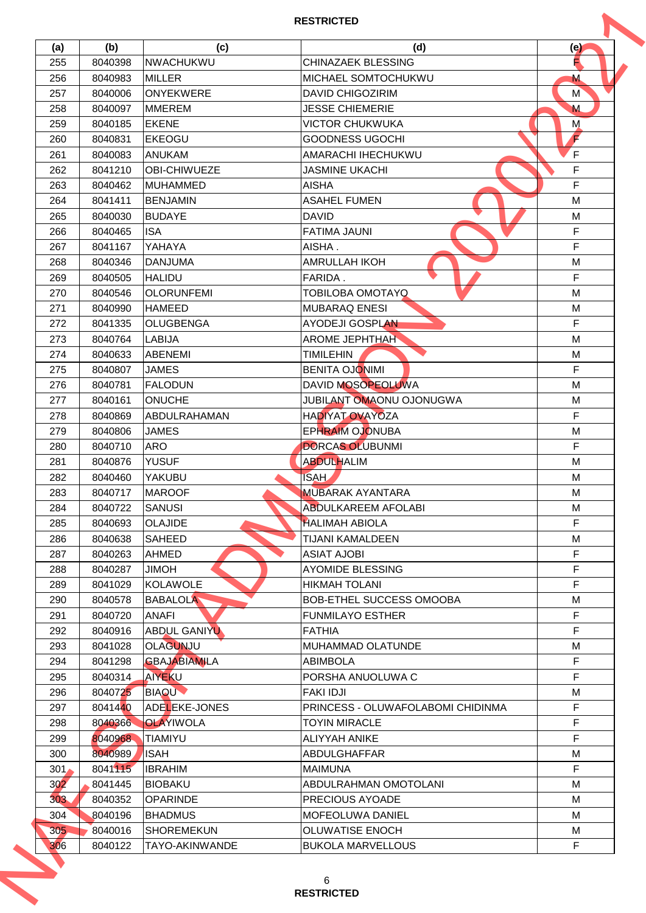| (a) | (b)     | (c)                 | (d)                               | (e)            |
|-----|---------|---------------------|-----------------------------------|----------------|
| 255 | 8040398 | NWACHUKWU           | <b>CHINAZAEK BLESSING</b>         | Е              |
| 256 | 8040983 | <b>MILLER</b>       | MICHAEL SOMTOCHUKWU               | M              |
| 257 | 8040006 | <b>ONYEKWERE</b>    | <b>DAVID CHIGOZIRIM</b>           | M <sup>'</sup> |
| 258 | 8040097 | <b>MMEREM</b>       | <b>JESSE CHIEMERIE</b>            | M              |
| 259 | 8040185 | <b>EKENE</b>        | <b>VICTOR CHUKWUKA</b>            | M              |
| 260 | 8040831 | <b>EKEOGU</b>       | <b>GOODNESS UGOCHI</b>            | F              |
| 261 | 8040083 | <b>ANUKAM</b>       | AMARACHI IHECHUKWU                | F              |
| 262 | 8041210 | <b>OBI-CHIWUEZE</b> | <b>JASMINE UKACHI</b>             | F              |
| 263 | 8040462 | <b>MUHAMMED</b>     | <b>AISHA</b>                      | F.             |
| 264 | 8041411 | <b>BENJAMIN</b>     | <b>ASAHEL FUMEN</b>               | M              |
| 265 | 8040030 | <b>BUDAYE</b>       | <b>DAVID</b>                      | M              |
| 266 | 8040465 | <b>ISA</b>          | <b>FATIMA JAUNI</b>               | F              |
| 267 | 8041167 | YAHAYA              | AISHA.                            | F              |
|     |         |                     |                                   |                |
| 268 | 8040346 | <b>DANJUMA</b>      | <b>AMRULLAH IKOH</b>              | M              |
| 269 | 8040505 | <b>HALIDU</b>       | FARIDA.                           | F              |
| 270 | 8040546 | <b>OLORUNFEMI</b>   | <b>TOBILOBA OMOTAYQ</b>           | M              |
| 271 | 8040990 | <b>HAMEED</b>       | <b>MUBARAQ ENESI</b>              | M              |
| 272 | 8041335 | <b>OLUGBENGA</b>    | <b>AYODEJI GOSPLAN</b>            | F.             |
| 273 | 8040764 | <b>LABIJA</b>       | <b>AROME JEPHTHAH</b>             | M              |
| 274 | 8040633 | ABENEMI             | <b>TIMILEHIN</b>                  | M              |
| 275 | 8040807 | <b>JAMES</b>        | <b>BENITA OJONIMI</b>             | F.             |
| 276 | 8040781 | <b>FALODUN</b>      | DAVID MOSOPEOLUWA                 | M              |
| 277 | 8040161 | <b>ONUCHE</b>       | JUBILANT OMAONU OJONUGWA          | M              |
| 278 | 8040869 | <b>ABDULRAHAMAN</b> | ΗΑ ΟΙΥΑΤΟΥΑΥΟΖΑ                   | F.             |
| 279 | 8040806 | <b>JAMES</b>        | <b>EPHRAIM OJONUBA</b>            | M              |
| 280 | 8040710 | <b>ARO</b>          | <b>DORCAS OLUBUNMI</b>            | F              |
| 281 | 8040876 | <b>YUSUF</b>        | <b>ABDULHALIM</b>                 | M              |
| 282 | 8040460 | YAKUBU              | <b>ISAH</b>                       | М              |
| 283 | 8040717 | <b>MAROOF</b>       | <b>MUBARAK AYANTARA</b>           | M              |
| 284 | 8040722 | <b>SANUSI</b>       | ABDULKAREEM AFOLABI               | М              |
| 285 | 8040693 | <b>OLAJIDE</b>      | <b>HALIMAH ABIOLA</b>             | F              |
| 286 | 8040638 | <b>SAHEED</b>       | <b>TIJANI KAMALDEEN</b>           | M              |
| 287 | 8040263 | <b>AHMED</b>        | <b>ASIAT AJOBI</b>                | F              |
| 288 | 8040287 | <b>HOMIL</b>        | <b>AYOMIDE BLESSING</b>           | F              |
| 289 | 8041029 | KOLAWOLE            | <b>HIKMAH TOLANI</b>              | F.             |
| 290 | 8040578 | <b>BABALOLA</b>     | BOB-ETHEL SUCCESS OMOOBA          | M              |
| 291 | 8040720 | <b>ANAFI</b>        | <b>FUNMILAYO ESTHER</b>           | F              |
| 292 | 8040916 | <b>ABDUL GANIYU</b> | <b>FATHIA</b>                     | F.             |
| 293 | 8041028 | <b>OLAGUNJU</b>     | <b>MUHAMMAD OLATUNDE</b>          | М              |
| 294 | 8041298 | <b>GBAJABIAMILA</b> | <b>ABIMBOLA</b>                   | F              |
| 295 | 8040314 | <b>AIYEKU</b>       | PORSHA ANUOLUWA C                 | F.             |
|     |         |                     |                                   |                |
| 296 | 8040725 | <b>BIAQU</b>        | <b>FAKI IDJI</b>                  | М              |
| 297 | 8041440 | ADELEKE-JONES       | PRINCESS - OLUWAFOLABOMI CHIDINMA | F              |
| 298 | 8040366 | <b>OLAYIWOLA</b>    | <b>TOYIN MIRACLE</b>              | F              |
| 299 | 8040968 | <b>TIAMIYU</b>      | <b>ALIYYAH ANIKE</b>              | F              |
| 300 | 8040989 | <b>ISAH</b>         | ABDULGHAFFAR                      | M              |
| 301 | 8041115 | <b>IBRAHIM</b>      | <b>MAIMUNA</b>                    | F.             |
| 302 | 8041445 | <b>BIOBAKU</b>      | ABDULRAHMAN OMOTOLANI             | М              |
| 303 | 8040352 | <b>OPARINDE</b>     | PRECIOUS AYOADE                   | М              |
| 304 | 8040196 | <b>BHADMUS</b>      | MOFEOLUWA DANIEL                  | М              |
| 305 | 8040016 | <b>SHOREMEKUN</b>   | <b>OLUWATISE ENOCH</b>            | М              |
|     |         | TAYO-AKINWANDE      | <b>BUKOLA MARVELLOUS</b>          | F              |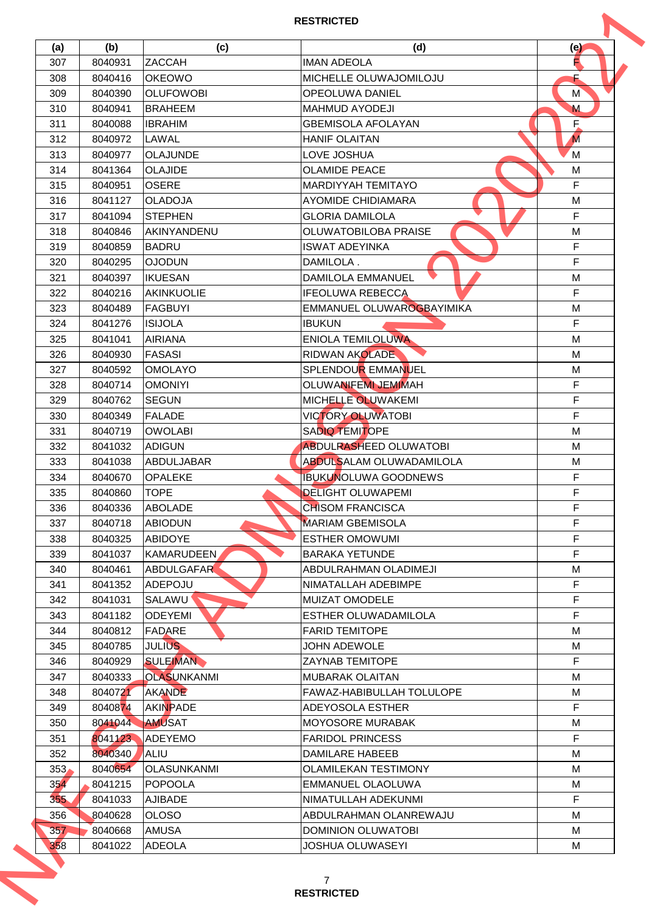| (a)              | (b)     | (c)                | (d)                              | (e)            |
|------------------|---------|--------------------|----------------------------------|----------------|
| 307              | 8040931 | <b>ZACCAH</b>      | <b>IMAN ADEOLA</b>               | Е              |
| 308              | 8040416 | <b>OKEOWO</b>      | MICHELLE OLUWAJOMILOJU           |                |
| 309              | 8040390 | <b>OLUFOWOBI</b>   | <b>OPEOLUWA DANIEL</b>           | M <sup>'</sup> |
| 310              | 8040941 | <b>BRAHEEM</b>     | <b>MAHMUD AYODEJI</b>            | M              |
| 311              | 8040088 | <b>IBRAHIM</b>     | <b>GBEMISOLA AFOLAYAN</b>        | F.             |
| 312              | 8040972 | LAWAL              | <b>HANIF OLAITAN</b>             | M              |
| 313              | 8040977 | <b>OLAJUNDE</b>    | LOVE JOSHUA                      | M              |
| 314              | 8041364 | <b>OLAJIDE</b>     | <b>OLAMIDE PEACE</b>             | M              |
| 315              | 8040951 | <b>OSERE</b>       | <b>MARDIYYAH TEMITAYO</b>        | F              |
| 316              | 8041127 | <b>OLADOJA</b>     | <b>AYOMIDE CHIDIAMARA</b>        | M              |
| 317              | 8041094 | <b>STEPHEN</b>     | <b>GLORIA DAMILOLA</b>           | F              |
| 318              | 8040846 | AKINYANDENU        | OLUWATOBILOBA PRAISE             | M              |
| 319              | 8040859 | <b>BADRU</b>       | <b>ISWAT ADEYINKA</b>            | F              |
| 320              | 8040295 | <b>NUGOLO</b>      | DAMILOLA.                        | F.             |
|                  |         |                    | <b>DAMILOLA EMMANUEL</b>         |                |
| 321<br>322       | 8040397 | <b>IKUESAN</b>     |                                  | M<br>F         |
|                  | 8040216 | <b>AKINKUOLIE</b>  | <b>IFEOLUWA REBECCA</b>          |                |
| 323              | 8040489 | <b>FAGBUYI</b>     | EMMANUEL OLUWAROGBAYIMIKA        | M              |
| 324              | 8041276 | <b>ISIJOLA</b>     | <b>IBUKUN</b>                    | F.             |
| 325              | 8041041 | <b>AIRIANA</b>     | <b>ENIOLA TEMILOLUWA</b>         | M              |
| 326              | 8040930 | <b>FASASI</b>      | <b>RIDWAN AKOLADE</b>            | M              |
| 327              | 8040592 | <b>OMOLAYO</b>     | SPLENDOUR EMMANUEL               | M              |
| 328              | 8040714 | <b>OMONIYI</b>     | <b>OLUWANIFEMI JEMIMAH</b>       | F              |
| 329              | 8040762 | <b>SEGUN</b>       | MICHELLE OLUWAKEMI               | F              |
| 330              | 8040349 | <b>FALADE</b>      | <b>VICTORY OLUWATOBI</b>         | F              |
| 331              | 8040719 | <b>OWOLABI</b>     | <b>SADIQ TEMITOPE</b>            | M              |
| 332              | 8041032 | <b>ADIGUN</b>      | <b>ABDULRASHEED OLUWATOBI</b>    | M              |
| 333              | 8041038 | <b>ABDULJABAR</b>  | ABDULSALAM OLUWADAMILOLA         | M              |
| 334              | 8040670 | <b>OPALEKE</b>     | <b>IBUKUNOLUWA GOODNEWS</b>      | F              |
| 335              | 8040860 | <b>TOPE</b>        | <b>DELIGHT OLUWAPEMI</b>         | F              |
| 336              | 8040336 | <b>ABOLADE</b>     | <b>CHISOM FRANCISCA</b>          | F              |
| 337              | 8040718 | <b>ABIODUN</b>     | <b>MARIAM GBEMISOLA</b>          | F              |
| 338              | 8040325 | ABIDOYE            | <b>ESTHER OMOWUMI</b>            | F              |
| 339              | 8041037 | <b>KAMARUDEEN</b>  | <b>BARAKA YETUNDE</b>            | F.             |
| 340              | 8040461 | <b>ABDULGAFAR</b>  | ABDULRAHMAN OLADIMEJI            | M              |
| 341              | 8041352 | ADEPOJU            | NIMATALLAH ADEBIMPE              | F.             |
| 342              | 8041031 | <b>SALAWU</b>      | <b>MUIZAT OMODELE</b>            | F              |
| 343              | 8041182 | <b>ODEYEMI</b>     | ESTHER OLUWADAMILOLA             | F.             |
| 344              | 8040812 | FADARE             | <b>FARID TEMITOPE</b>            | М              |
| 345              | 8040785 | <b>JULIUS</b>      | JOHN ADEWOLE                     | М              |
| 346              | 8040929 | <b>SULEIMAN</b>    | <b>ZAYNAB TEMITOPE</b>           | F              |
| 347              | 8040333 | OLASUNKANMI        | <b>MUBARAK OLAITAN</b>           | M              |
| 348              | 8040721 | AKANDE             | <b>FAWAZ-HABIBULLAH TOLULOPE</b> | М              |
| 349              | 8040874 | <b>AKINPADE</b>    | ADEYOSOLA ESTHER                 | F.             |
| 350              | 8041044 | <b>AMUSAT</b>      | <b>MOYOSORE MURABAK</b>          | M              |
| 351              | 8041123 | <b>ADEYEMO</b>     | <b>FARIDOL PRINCESS</b>          | F              |
| 352              | 8040340 | ALIU               | <b>DAMILARE HABEEB</b>           | М              |
|                  |         |                    |                                  |                |
| 353 <sub>1</sub> | 8040654 | <b>OLASUNKANMI</b> | <b>OLAMILEKAN TESTIMONY</b>      | М              |
| 354              | 8041215 | <b>POPOOLA</b>     | EMMANUEL OLAOLUWA                | М              |
| 35 <sub>b</sub>  | 8041033 | <b>AJIBADE</b>     | NIMATULLAH ADEKUNMI              | F.             |
| 356              | 8040628 | <b>OLOSO</b>       | ABDULRAHMAN OLANREWAJU           | М              |
| 357              | 8040668 | <b>AMUSA</b>       | <b>DOMINION OLUWATOBI</b>        | М              |
| 358              | 8041022 | <b>ADEOLA</b>      | JOSHUA OLUWASEYI                 | М              |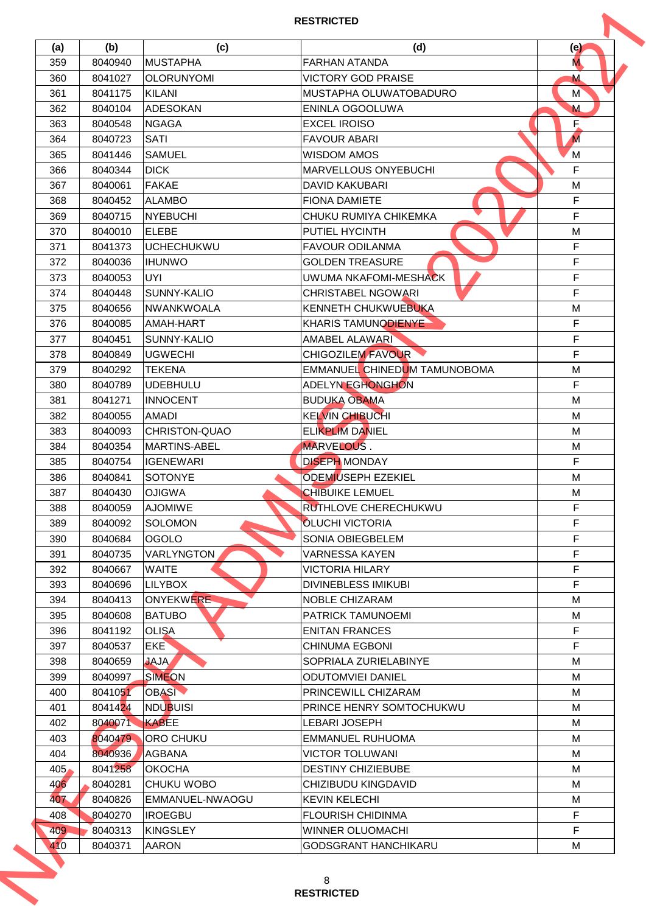| (a) | (b)     | (c)                  | (d)                          | (e)            |
|-----|---------|----------------------|------------------------------|----------------|
| 359 | 8040940 | <b>MUSTAPHA</b>      | <b>FARHAN ATANDA</b>         | M.             |
| 360 | 8041027 | <b>OLORUNYOMI</b>    | <b>VICTORY GOD PRAISE</b>    | M              |
| 361 | 8041175 | KILANI               | MUSTAPHA OLUWATOBADURO       | M <sup>'</sup> |
| 362 | 8040104 | <b>ADESOKAN</b>      | ENINLA OGOOLUWA              | M              |
| 363 | 8040548 | <b>NGAGA</b>         | <b>EXCEL IROISO</b>          | E.             |
| 364 | 8040723 | <b>SATI</b>          | <b>FAVOUR ABARI</b>          | M              |
| 365 | 8041446 | <b>SAMUEL</b>        | <b>WISDOM AMOS</b>           | M              |
| 366 | 8040344 | <b>DICK</b>          | <b>MARVELLOUS ONYEBUCHI</b>  | F              |
| 367 | 8040061 | <b>FAKAE</b>         | DAVID KAKUBARI               | M              |
| 368 | 8040452 | <b>ALAMBO</b>        | <b>FIONA DAMIETE</b>         | F.             |
| 369 | 8040715 | <b>NYEBUCHI</b>      | CHUKU RUMIYA CHIKEMKA        | F.             |
| 370 | 8040010 | <b>ELEBE</b>         | PUTIEL HYCINTH               | M              |
| 371 | 8041373 | <b>UCHECHUKWU</b>    | <b>FAVOUR ODILANMA</b>       | F              |
| 372 | 8040036 | <b>IHUNWO</b>        | <b>GOLDEN TREASURE</b>       | F              |
| 373 | 8040053 | UYI.                 | UWUMA NKAFOMI-MESHACK        | F              |
| 374 | 8040448 | SUNNY-KALIO          | <b>CHRISTABEL NGOWARI</b>    | F              |
| 375 | 8040656 | <b>NWANKWOALA</b>    | KENNETH CHUKWUEBUKA          | M              |
| 376 | 8040085 | AMAH-HART            | <b>KHARIS TAMUNODIENYE</b>   | F.             |
|     |         | SUNNY-KALIO          | AMABEL ALAWARI               | F.             |
| 377 | 8040451 |                      |                              | F.             |
| 378 | 8040849 | <b>UGWECHI</b>       | <b>CHIGOZILEM FAVOUR</b>     |                |
| 379 | 8040292 | <b>TEKENA</b>        | EMMANUEL CHINEDUM TAMUNOBOMA | M              |
| 380 | 8040789 | <b>UDEBHULU</b>      | ADELYN EGHONGHON             | F.             |
| 381 | 8041271 | <b>INNOCENT</b>      | <b>BUDUKA OBAMA</b>          | M              |
| 382 | 8040055 | <b>AMADI</b>         | <b>KELVIN CHIBUCHI</b>       | м              |
| 383 | 8040093 | <b>CHRISTON-QUAO</b> | <b>ELIKPLIM DANIEL</b>       | M              |
| 384 | 8040354 | <b>MARTINS-ABEL</b>  | MARVELOUS.                   | M              |
| 385 | 8040754 | <b>IGENEWARI</b>     | <b>DISEPH MONDAY</b>         | F              |
| 386 | 8040841 | <b>SOTONYE</b>       | <b>ODEMIUSEPH EZEKIEL</b>    | М              |
| 387 | 8040430 | <b>OJIGWA</b>        | <b>CHIBUIKE LEMUEL</b>       | M              |
| 388 | 8040059 | <b>AJOMIWE</b>       | RUTHLOVE CHERECHUKWU         | F              |
| 389 | 8040092 | <b>SOLOMON</b>       | <b>OLUCHI VICTORIA</b>       | F              |
| 390 | 8040684 | <b>OGOLO</b>         | SONIA OBIEGBELEM             | F              |
| 391 | 8040735 | VARLYNGTON           | <b>VARNESSA KAYEN</b>        | F              |
| 392 | 8040667 | <b>WAITE</b>         | VICTORIA HILARY              | F              |
| 393 | 8040696 | <b>LILYBOX</b>       | <b>DIVINEBLESS IMIKUBI</b>   | F.             |
| 394 | 8040413 | <b>ONYEKWERE</b>     | NOBLE CHIZARAM               | М              |
| 395 | 8040608 | <b>BATUBO</b>        | <b>PATRICK TAMUNOEMI</b>     | М              |
| 396 | 8041192 | <b>OLISA</b>         | <b>ENITAN FRANCES</b>        | F.             |
| 397 | 8040537 | <b>EKE</b>           | <b>CHINUMA EGBONI</b>        | F              |
| 398 | 8040659 | <b>JAJA</b>          | SOPRIALA ZURIELABINYE        | М              |
| 399 | 8040997 | <b>SIMEON</b>        | <b>ODUTOMVIEI DANIEL</b>     | М              |
| 400 | 8041051 | <b>OBASI</b>         | PRINCEWILL CHIZARAM          | м              |
| 401 | 8041424 | <b>NDUBUISI</b>      | PRINCE HENRY SOMTOCHUKWU     | М              |
| 402 | 8040071 | <b>KABEE</b>         | <b>LEBARI JOSEPH</b>         | М              |
| 403 | 8040479 | ORO CHUKU            | EMMANUEL RUHUOMA             | М              |
| 404 | 8040936 | <b>AGBANA</b>        | <b>VICTOR TOLUWANI</b>       | М              |
| 405 | 8041258 | <b>OKOCHA</b>        | <b>DESTINY CHIZIEBUBE</b>    | М              |
| 406 | 8040281 | <b>CHUKU WOBO</b>    | CHIZIBUDU KINGDAVID          | М              |
| 407 | 8040826 | EMMANUEL-NWAOGU      | <b>KEVIN KELECHI</b>         | М              |
| 408 | 8040270 | <b>IROEGBU</b>       | <b>FLOURISH CHIDINMA</b>     | F              |
|     | 8040313 | <b>KINGSLEY</b>      | <b>WINNER OLUOMACHI</b>      | F              |
| 409 |         |                      |                              |                |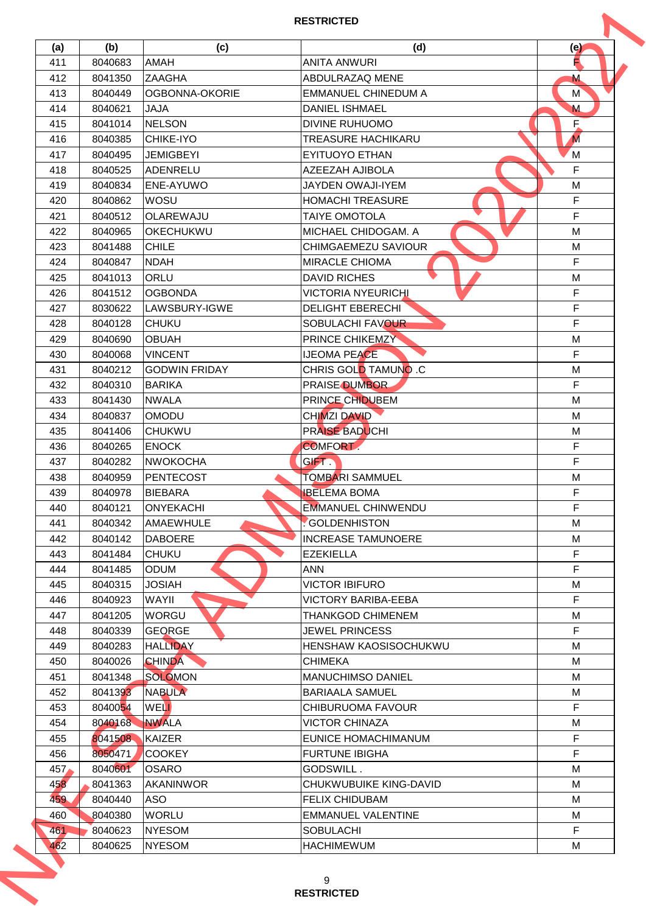| (a) | (b)     | (c)                  | (d)                        | (e)            |
|-----|---------|----------------------|----------------------------|----------------|
| 411 | 8040683 | <b>AMAH</b>          | <b>ANITA ANWURI</b>        | Е              |
| 412 | 8041350 | <b>ZAAGHA</b>        | ABDULRAZAQ MENE            | M              |
| 413 | 8040449 | OGBONNA-OKORIE       | <b>EMMANUEL CHINEDUM A</b> | M <sup>'</sup> |
| 414 | 8040621 | <b>JAJA</b>          | <b>DANIEL ISHMAEL</b>      | M              |
| 415 | 8041014 | <b>NELSON</b>        | <b>DIVINE RUHUOMO</b>      | E.             |
| 416 | 8040385 | <b>CHIKE-IYO</b>     | <b>TREASURE HACHIKARU</b>  | M              |
| 417 | 8040495 | <b>JEMIGBEYI</b>     | EYITUOYO ETHAN             | M              |
| 418 | 8040525 | ADENRELU             | AZEEZAH AJIBOLA            | F              |
| 419 | 8040834 | ENE-AYUWO            | JAYDEN OWAJI-IYEM          | M              |
| 420 | 8040862 | <b>WOSU</b>          | <b>HOMACHI TREASURE</b>    | F.             |
| 421 | 8040512 | OLAREWAJU            | <b>TAIYE OMOTOLA</b>       | F.             |
| 422 | 8040965 | <b>OKECHUKWU</b>     | MICHAEL CHIDOGAM. A        | M              |
| 423 | 8041488 | <b>CHILE</b>         | CHIMGAEMEZU SAVIOUR        | M              |
| 424 | 8040847 | <b>NDAH</b>          | <b>MIRACLE CHIOMA</b>      | F              |
| 425 | 8041013 | <b>ORLU</b>          | <b>DAVID RICHES</b>        | M              |
|     |         |                      |                            |                |
| 426 | 8041512 | <b>OGBONDA</b>       | <b>VICTORIA NYEURICHI</b>  | F              |
| 427 | 8030622 | LAWSBURY-IGWE        | <b>DELIGHT EBERECHI</b>    | F.             |
| 428 | 8040128 | <b>CHUKU</b>         | SOBULACHI FAVOUR           | F.             |
| 429 | 8040690 | <b>OBUAH</b>         | <b>PRINCE CHIKEMZY</b>     | M              |
| 430 | 8040068 | <b>VINCENT</b>       | <b>IJEOMA PEACE</b>        | F              |
| 431 | 8040212 | <b>GODWIN FRIDAY</b> | CHRIS GOLD TAMUNO .C       | M              |
| 432 | 8040310 | <b>BARIKA</b>        | <b>PRAISE DUMBOR</b>       | F.             |
| 433 | 8041430 | <b>NWALA</b>         | PRINCE CHIDUBEM            | M              |
| 434 | 8040837 | <b>OMODU</b>         | <b>CHIMZI DAVID</b>        | М              |
| 435 | 8041406 | <b>CHUKWU</b>        | PRAISE BADUCHI             | M              |
| 436 | 8040265 | <b>ENOCK</b>         | <b>COMFORT.</b>            | F              |
| 437 | 8040282 | <b>NWOKOCHA</b>      | <b>GIFT</b>                | F.             |
| 438 | 8040959 | <b>PENTECOST</b>     | TOMBARI SAMMUEL            | М              |
| 439 | 8040978 | <b>BIEBARA</b>       | <b>IBELEMA BOMA</b>        | F              |
| 440 | 8040121 | <b>ONYEKACHI</b>     | <b>EMMANUEL CHINWENDU</b>  | F              |
| 441 | 8040342 | AMAEWHULE            | <b>GOLDENHISTON</b>        | М              |
| 442 | 8040142 | <b>DABOERE</b>       | <b>INCREASE TAMUNOERE</b>  | М              |
| 443 | 8041484 | <b>CHUKU</b>         | <b>EZEKIELLA</b>           | F              |
| 444 | 8041485 | <b>ODUM</b>          | <b>ANN</b>                 | F              |
| 445 | 8040315 | <b>JOSIAH</b>        | VICTOR IBIFURO             | М              |
| 446 | 8040923 | WAYII                | VICTORY BARIBA-EEBA        | F.             |
| 447 | 8041205 | <b>WORGU</b>         | <b>THANKGOD CHIMENEM</b>   | М              |
| 448 | 8040339 | <b>GEQRGE</b>        | <b>JEWEL PRINCESS</b>      | F.             |
| 449 | 8040283 | <b>HALLIDAY</b>      | HENSHAW KAOSISOCHUKWU      | М              |
| 450 | 8040026 | <b>CHINDA</b>        | <b>CHIMEKA</b>             | М              |
| 451 | 8041348 | <b>SOLOMON</b>       | <b>MANUCHIMSO DANIEL</b>   | М              |
| 452 | 8041393 | <b>NABULA</b>        | <b>BARIAALA SAMUEL</b>     | М              |
| 453 | 8040054 | <b>WELL</b>          | CHIBURUOMA FAVOUR          | F.             |
| 454 | 8040168 | <b>NWALA</b>         | <b>VICTOR CHINAZA</b>      | М              |
| 455 | 8041508 | <b>KAIZER</b>        | EUNICE HOMACHIMANUM        | F              |
| 456 | 8050471 | <b>COOKEY</b>        | <b>FURTUNE IBIGHA</b>      | F.             |
| 457 | 8040601 | <b>OSARO</b>         | GODSWILL.                  | M              |
| 458 | 8041363 | <b>AKANINWOR</b>     | CHUKWUBUIKE KING-DAVID     | М              |
| 459 | 8040440 | <b>ASO</b>           | <b>FELIX CHIDUBAM</b>      | М              |
| 460 | 8040380 | <b>WORLU</b>         | <b>EMMANUEL VALENTINE</b>  | М              |
| 461 | 8040623 | <b>NYESOM</b>        | <b>SOBULACHI</b>           | F              |
|     |         | <b>NYESOM</b>        | <b>HACHIMEWUM</b>          | М              |